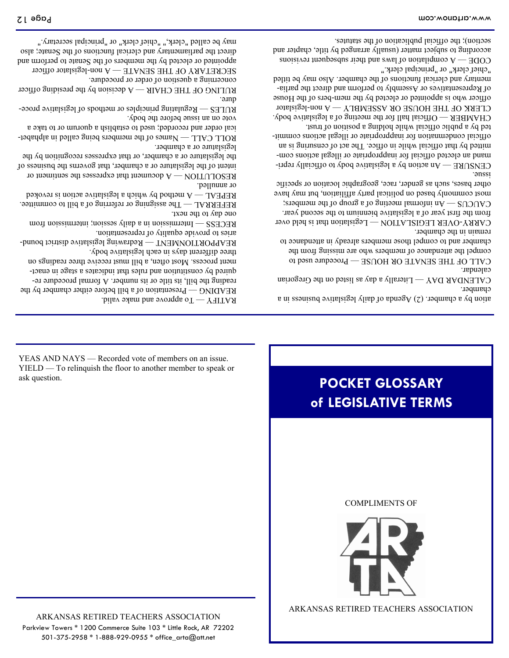ARKANSAS RETIRED TEACHERS ASSOCIATION Parkview Towers \* 1200 Commerce Suite 103 \* Little Rock, AR 72202 501-375-2958 \* 1-888-929-0955 \* office\_arta@att.net

ARKANSAS RETIRED TEACHERS ASSOCIATION



COMPLIMENTS OF

## **POCKET GLOSSARY of LEGISLATIVE TERMS**

YEAS AND NAYS — Recorded vote of members on an issue. YIELD — To relinquish the floor to another member to speak or ask question.

READING — Presentation of a bill before either chamber by the reading the bill, its title or its number. A formal procedure required by constitution and rules that indicates a stage in enactment process. Most often, a bill must receive three readings on

REAPPORTIONMENT - Redrawing legislative district bound-

REFERRAL  $-$  The assigning or referring of a bill to committee. REPEAL  $-$  A method by which a legislative action is revoked

RESOLUTION  $-A$  document that expresses the sentiment or intent of the legislature or a chamber, that governs the business of the legislature or a chamber, or that expresses recognition by the

 $BOTC$  CVLL  $-W$ ames of the members being called in alphabetical order and recorded; used to establish a quorum or to take a

RULES  $-R$ egulating principles or methods of legislative proce-

RULING OF THE CHAIR  $-A$  decision by the presiding officer

SECRETARY OF THE SENATE  $-A$  non-legislator officer appointed or elected by the members of the Senate to perform and direct the parliamentary and clerical functions of the Senate; also may be called "clerk," "chief clerk" or "principal secretary."

Intermission in a daily session; intermission from — RECESS

RATIFY  $-To$  approve and make valid.

three different days in each legislative body.

aries to provide equality of representation.

one day to the next.

legislature or a chamber.

vote on an issue before the body.

concerning a question of order or procedure.

or annulled.

dure.

ation by a chamber. (2) Agenda of daily legislative business in a chamber.

CALENDAR DAY  $-M$  Literally a day as listed on the Gregorian calendar.

CALL OF THE SENATE OR HOUSE  $-$  Procedure used to compel the attendance of members who are missing from the chamber and to compel those members already in attendance to

remain in the chamber. CARRY-OVER LEGISLATION - Legislation that is held over from the first year of a legislative biennium to the second year.

 $COMO - \gamma$ u informal meeting of a group of the members; most commonly based on political party affiliation and have other bases, such as gender, race, geographic location or specific issue.

CENSURE  $-An$  action by a legislative body to officially reprimand an elected official for inappropriate or illegal actions committed by that official while in office. The act of censuring is an official condemnation for inappropriate or illegal actions commit-

ted by a public official while holding a position of trust. CHAMBER  $-$  Official hall for the meeting of a legislative body. CLERK OF THE HOUSE OR ASSEMBLY  $-\Lambda$  non-legislator officer who is appointed or elected by the mem-bers of the House of Representatives or Assembly to perform and direct the parlia-

mentary and clerical functions of the chamber. Also may be titled "chief clerk" or "principal clerk."  $\alpha$  compilation of laws and their subsequent revisions and revisions  $\alpha$ according to subject matter (usually arranged by title, chapter and

section); the official publication of the statutes.

Page 12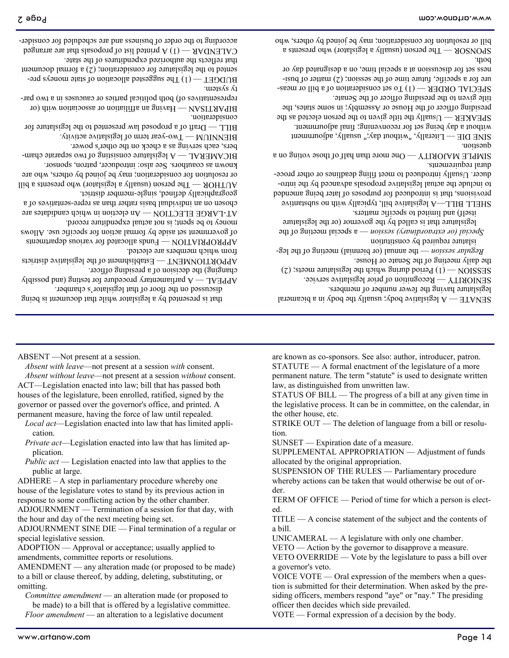title given to the presiding officer of the Senate. SPECIAL ORDER  $-$  (1) To set consideration of a bill or measure for a specific, future time of the session;  $(2)$  matter of business set for discussion at a special time, on a designated day or

uonsanb<sup>-</sup>  $ZIME DIE$  — Fiterally, "without day;" usually, adjournment without a day being set for reconvening; final adjournment.  $S$ bEAKER — Usually the title given to the person elected as the presiding officer of the House or Assembly; in some states, the

dural requirements. SIMPLE MAJORITY — One more than half of those voting on a

SHELL BILL—A legislative bill, typically with no substantive provisions, that is introduced for purposes of later being amended to include the actual legislative proposals advanced by the introducer. Usually introduced to meet filing deadlines or other proce-

itself) and limited to specific matters.

islature required by constitution a special (or extraordinary) session — a special neutropolitic setting of the legislature that is called by the governor (or the legislature

the daily meeting of the Senate or House. the annual (or biennial) meeting of the leg- — *Regular session*

 $PESDOS = (1)$  Period during which the legislature meets; (2)

Recognition of prior legislative service. — SENIORITY

legislature having the fewer number of members.

A legislative body; usually the body in a bicameral — SENATE

that reflects the authorized expenditures of the state. CALENDAR  $- (1)$  A printed list of proposals that are arranged according to the order of business and are scheduled for consider-

ty system.  $H \cap H$  The suggested allocation of state moneys presented to the legislature for consideration; (2) a formal document

consideration. Having an affiliation or association with (or  $100$ ) dit with  $\mu$ representatives of) both political parties or caucuses in a two par-

BIENNIUM — Two-year term of legislative activity. BILL  $-$  Draft of a proposed law presented to the legislature for

known as coauthors. See also: introducer, patron, sponsor. BICAMERAL  $\rightarrow$  1 legislature consisting of two separate chambers, each serving as a check on the other's power.

geographically defined, single-member district.  $H \cap H \longrightarrow H$  is person (usually a legislator) who presents a bill or resolution for consideration; may be joined by others, who are

money to be spent; is not actual expenditure record. AT-LARGE ELECTION — An election in which candidates are chosen on an individual basis rather than as repre-sentatives of a

from which members are elected. Funds allocated for various departments — APPROPRIATION of government set aside by formal action for specific use. Allows

changing) the decision of a presiding officer. Establishment of the legislative districts — APPORTIONMENT

discussed on the floor of that legislator's chamber. A parliamentary procedure for testing (and possibly  $\chi$ 

that is presented by a legislator while that document is being

*Absent with leave*—not present at a session *with* consent. *Absent without leave*—not present at a session *without* consent. ACT—Legislation enacted into law; bill that has passed both houses of the legislature, been enrolled, ratified, signed by the governor or passed over the governor's office, and printed. A permanent measure, having the force of law until repealed.

*Local act*—Legislation enacted into law that has limited appli-

*Private act*—Legislation enacted into law that has limited ap-

*Public act* — Legislation enacted into law that applies to the

ADJOURNMENT SINE DIE — Final termination of a regular or

AMENDMENT — any alteration made (or proposed to be made) to a bill or clause thereof, by adding, deleting, substituting, or

ADOPTION — Approval or acceptance; usually applied to

ADHERE – A step in parliamentary procedure whereby one house of the legislature votes to stand by its previous action in response to some conflicting action by the other chamber. ADJOURNMENT — Termination of a session for that day, with

the hour and day of the next meeting being set.

amendments, committee reports or resolutions.

ABSENT —Not present at a session.

cation.

plication.

public at large.

special legislative session.

omitting.

are known as co-sponsors. See also: author, introducer, patron. STATUTE — A formal enactment of the legislature of a more permanent nature. The term "statute" is used to designate written law, as distinguished from unwritten law.

STATUS OF BILL — The progress of a bill at any given time in the legislative process. It can be in committee, on the calendar, in the other house, etc.

STRIKE OUT — The deletion of language from a bill or resolution.

SUPPLEMENTAL APPROPRIATION — Adjustment of funds

allocated by the original appropriation.

a bill.

a governor's veto.

officer then decides which side prevailed.

SUNSET — Expiration date of a measure.

SUSPENSION OF THE RULES — Parliamentary procedure whereby actions can be taken that would otherwise be out of or-

der.

UNICAMERAL — A legislature with only one chamber. VETO — Action by the governor to disapprove a measure. VETO OVERRIDE — Vote by the legislature to pass a bill over

VOTE — Formal expression of a decision by the body.

ed. TITLE — A concise statement of the subject and the contents of

TERM OF OFFICE — Period of time for which a person is elect-

VOICE VOTE — Oral expression of the members when a question is submitted for their determination. When asked by the presiding officers, members respond "aye" or "nay." The presiding

*Floor amendment* — an alteration to a legislative document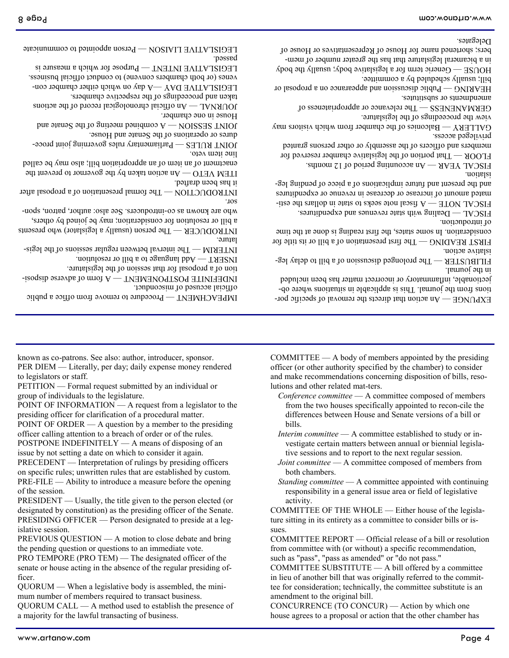mum number of members required to transact business. QUORUM CALL — A method used to establish the presence of a majority for the lawful transacting of business.

ficer. QUORUM — When a legislative body is assembled, the mini-

the pending question or questions to an immediate vote. PRO TEMPORE (PRO TEM) — The designated officer of the senate or house acting in the absence of the regular presiding of-

islative session. PREVIOUS QUESTION — A motion to close debate and bring

of the session. PRESIDENT — Usually, the title given to the person elected (or designated by constitution) as the presiding officer of the Senate. PRESIDING OFFICER — Person designated to preside at a leg-

issue by not setting a date on which to consider it again. PRECEDENT — Interpretation of rulings by presiding officers on specific rules; unwritten rules that are established by custom. PRE-FILE — Ability to introduce a measure before the opening

POINT OF ORDER — A question by a member to the presiding officer calling attention to a breach of order or of the rules. POSTPONE INDEFINITELY — A means of disposing of an

POINT OF INFORMATION — A request from a legislator to the presiding officer for clarification of a procedural matter.

group of individuals to the legislature.

PETITION — Formal request submitted by an individual or

to legislators or staff.

known as co-patrons. See also: author, introducer, sponsor. PER DIEM — Literally, per day; daily expense money rendered

Procedure to remove from office a public — IMPEACHMENT

INDEFINITE POSTPONEMENT— A form of adverse disposi-

The interval between regular sessions of the legis- — INTERIM

THE FRODUCER  $-$  Legislator (usually a legislator) who presents a bill or resolution for consideration; may be joined by others, mucers. See also: authormacers. See also: author, patron, spon-

> COMMITTEE — A body of members appointed by the presiding officer (or other authority specified by the chamber) to consider and make recommendations concerning disposition of bills, resolutions and other related mat-ters.

 $\Gamma$ An action that directs the removal of specific portions from the journal. This is applicable in situations where objectionable, inflammatory or incorrect matter has been included

FILIBUSTER  $-$  The prolonged discussion of a bill to delay leg-

FIRST READING — The first presentation of a bill or its title for consideration. In some states, the first reading at such time

GALLERY  $-$  Balconies of the chamber from which risitors may

Public discussion and appearance on a proposal or — HEARING

bers; shortened name for House of Representatives or House of

 $BESV - D$ ealing with state revenues and expenditures.  $A$  fiscal note seeks to state in dollars the estimated amount of increase or decrease in revenue or expenditures and the present and future implications of a post of a pure leg-

 $A$  accounting period of 12 months. FLOOR  $-$  That portion of the legislative chamber reserved for members and officers of the assembly or other persons granted

The relevance or appropriateness of — GERMANENESS

view the proceedings of the legislature.

bill; usually scheduled by a committee.

setuites or substitutes.

*Conference committee* — A committee composed of members from the two houses specifically appointed to recon-cile the differences between House and Senate versions of a bill or

bills.

*Interim committee* — A committee established to study or investigate certain matters between annual or biennial legisla-

tive sessions and to report to the next regular session. *Joint committee* — A committee composed of members from

both chambers.

*Standing committee* — A committee appointed with continuing

responsibility in a general issue area or field of legislative

activity.

COMMITTEE OF THE WHOLE — Either house of the legisla-

ture sitting in its entirety as a committee to consider bills or is-

COMMITTEE REPORT — Official release of a bill or resolution from committee with (or without) a specific recommendation,

COMMITTEE SUBSTITUTE — A bill offered by a committee in lieu of another bill that was originally referred to the committee for consideration; technically, the committee substitute is an

CONCURRENCE (TO CONCUR) — Action by which one house agrees to a proposal or action that the other chamber has

such as "pass", "pass as amended" or "do not pass."

amendment to the original bill.

sues.

House in one chamber.

official accused of misconduct.

taken and proceedings of the respective chambers.

tion of a proposal for that session of the legislature. Add language to a bill or resolution. — INSERT

enactment of an item of an appropriation bill; also way be called line item veto.

it has been drafted. An action taken by the governor to prevent the  $\frac{1}{2}$ 

The formal presentation of a proposal after — INTRODUCTION

Parliamentary rules governing joint proce- — JOINT RULES dures or operations of the Senate and House.

A compined meeting of the Senate and put the Senate and  $\sim$ 

An official chronological record of the actions — JOURNAL

LEGISLATIVE DAY  $-A$  day on which either chamber con-

Person appointed to communicate — LEGISLATIVE LIAISON

<sub>b</sub>age 8

HOUSE — Generic term for a legislative body; usually the body in a bicameral legislature that has the greater number of memvenes (or both chambers convene) to conduct official business. Purpose for which a measure is  $W = W \cup W$  and  $W = W \cup W$ passed.

lature.

sor.

Delegates.

in the journal.

islative action.

of introduction.

privileged access.

islation.